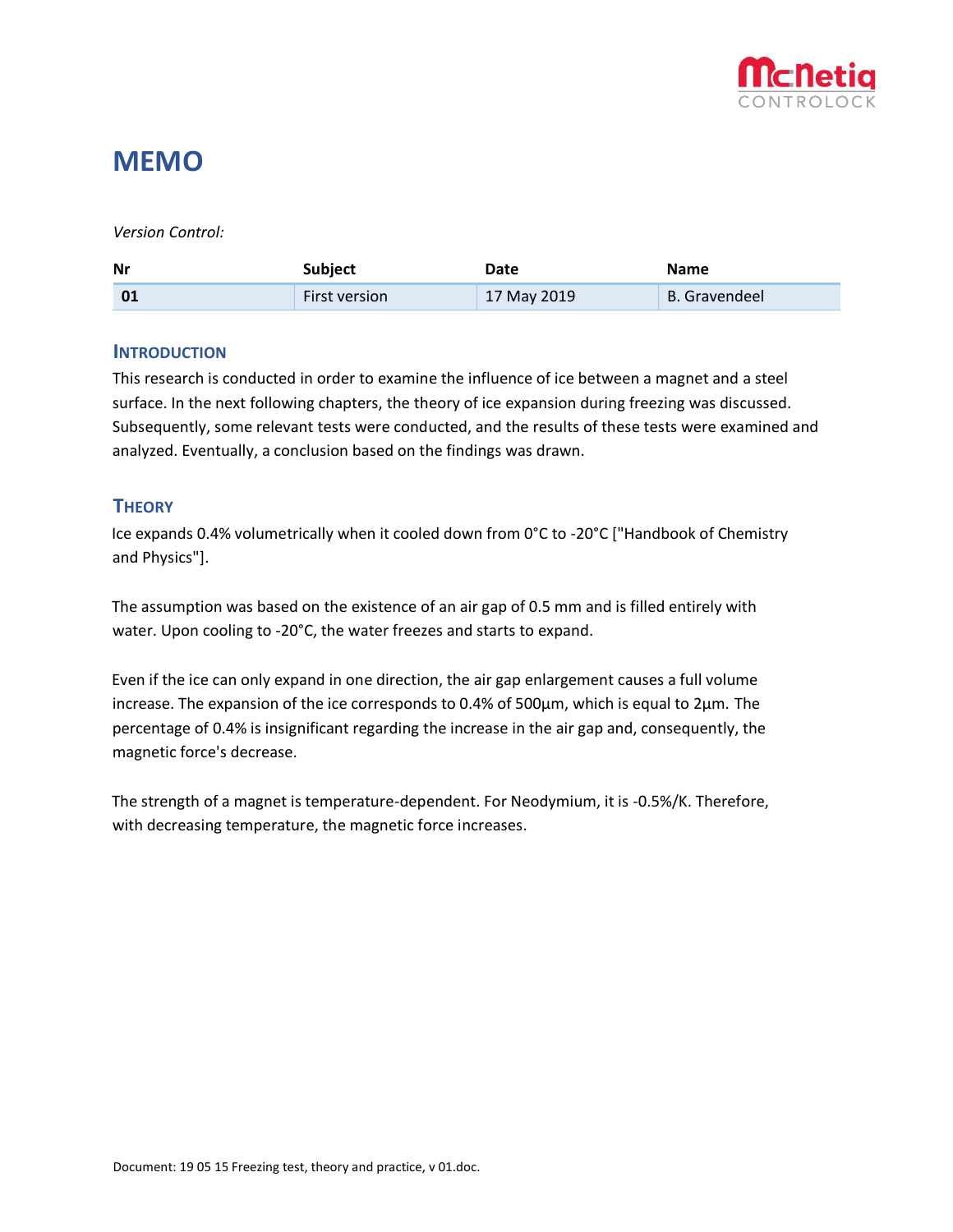

## **MEMO**

#### *Version Control:*

| <b>Nr</b> | <b>Subject</b>       | Date        | <b>Name</b>          |
|-----------|----------------------|-------------|----------------------|
| 01        | <b>First version</b> | 17 May 2019 | <b>B.</b> Gravendeel |

#### **INTRODUCTION**

This research is conducted in order to examine the influence of ice between a magnet and a steel surface. In the next following chapters, the theory of ice expansion during freezing was discussed. Subsequently, some relevant tests were conducted, and the results of these tests were examined and analyzed. Eventually, a conclusion based on the findings was drawn.

### **THEORY**

Ice expands 0.4% volumetrically when it cooled down from 0°C to -20°C ["Handbook of Chemistry and Physics"].

The assumption was based on the existence of an air gap of 0.5 mm and is filled entirely with water. Upon cooling to -20°C, the water freezes and starts to expand.

Even if the ice can only expand in one direction, the air gap enlargement causes a full volume increase. The expansion of the ice corresponds to  $0.4\%$  of 500 $\mu$ m, which is equal to  $2\mu$ m. The percentage of 0.4% is insignificant regarding the increase in the air gap and, consequently, the magnetic force's decrease.

The strength of a magnet is temperature-dependent. For Neodymium, it is -0.5%/K. Therefore, with decreasing temperature, the magnetic force increases.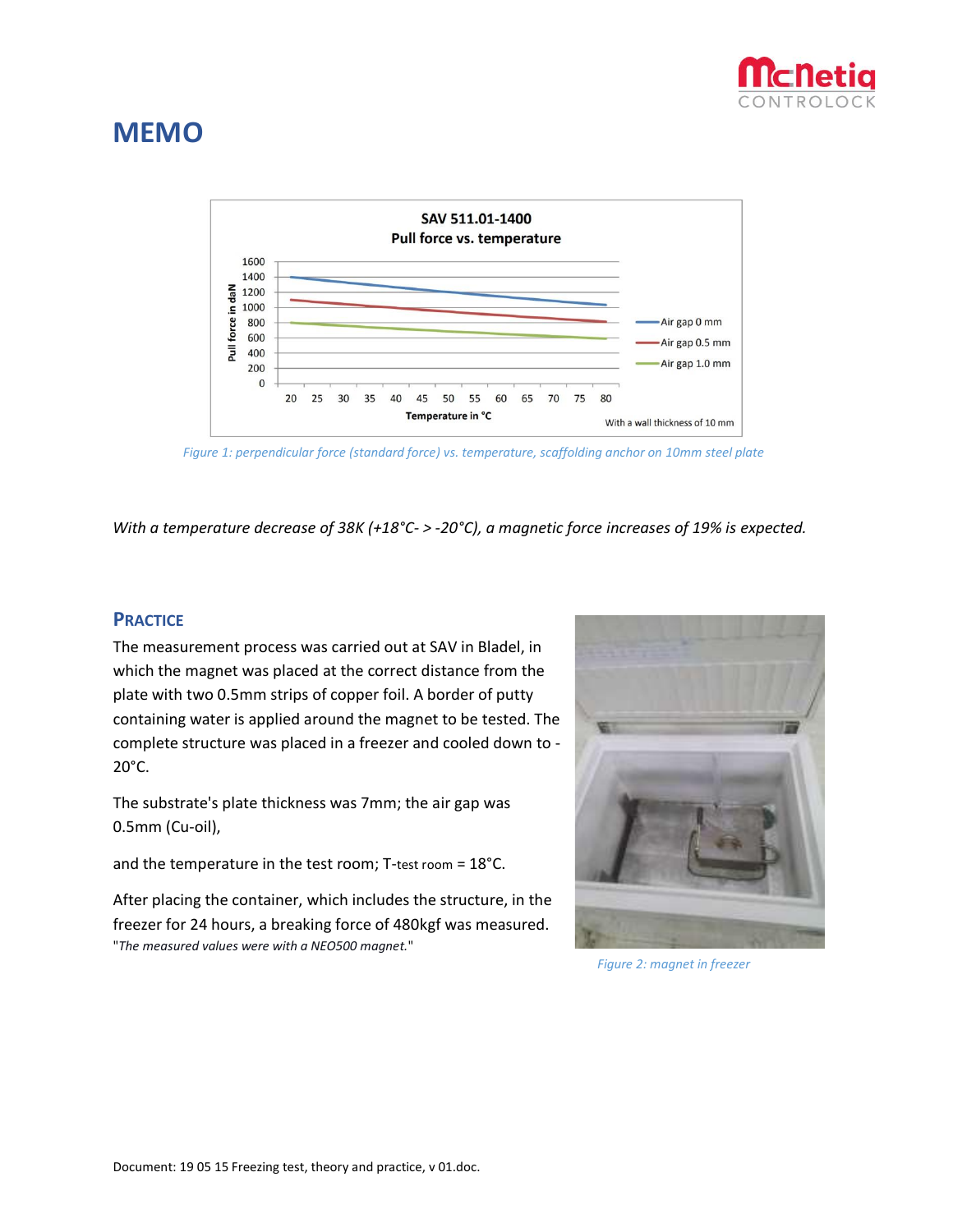

# **MEMO**



*Figure 1: perpendicular force (standard force) vs. temperature, scaffolding anchor on 10mm steel plate*

*With a temperature decrease of 38K (+18°C- > -20°C), a magnetic force increases of 19% is expected.*

#### **PRACTICE**

The measurement process was carried out at SAV in Bladel, in which the magnet was placed at the correct distance from the plate with two 0.5mm strips of copper foil. A border of putty containing water is applied around the magnet to be tested. The complete structure was placed in a freezer and cooled down to - 20°C.

The substrate's plate thickness was 7mm; the air gap was 0.5mm (Cu-oil),

and the temperature in the test room; T-test room = 18°C.

After placing the container, which includes the structure, in the freezer for 24 hours, a breaking force of 480kgf was measured. "*The measured values were with a NEO500 magnet.*"



*Figure 2: magnet in freezer*